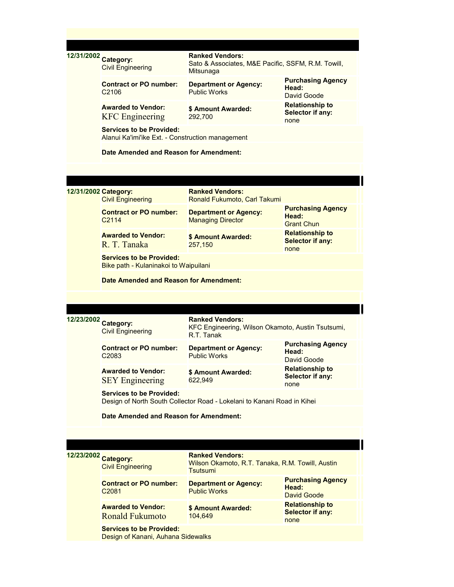| 12/31/2002 Category: | <b>Civil Engineering</b>                                                                                                                  | <b>Ranked Vendors:</b><br>Sato & Associates, M&E Pacific, SSFM, R.M. Towill,<br>Mitsunaga |                                                           |  |
|----------------------|-------------------------------------------------------------------------------------------------------------------------------------------|-------------------------------------------------------------------------------------------|-----------------------------------------------------------|--|
|                      | <b>Contract or PO number:</b><br>C <sub>2106</sub>                                                                                        | <b>Department or Agency:</b><br><b>Public Works</b>                                       | <b>Purchasing Agency</b><br>Head:<br>David Goode          |  |
|                      | <b>Awarded to Vendor:</b><br><b>KFC</b> Engineering                                                                                       | \$ Amount Awarded:<br>292,700                                                             | <b>Relationship to</b><br>Selector if any:<br>none        |  |
|                      | <b>Services to be Provided:</b><br>Alanui Ka'imi'ike Ext. - Construction management                                                       |                                                                                           |                                                           |  |
|                      | Date Amended and Reason for Amendment:                                                                                                    |                                                                                           |                                                           |  |
|                      |                                                                                                                                           |                                                                                           |                                                           |  |
| 12/31/2002 Category: | <b>Civil Engineering</b>                                                                                                                  | <b>Ranked Vendors:</b><br>Ronald Fukumoto, Carl Takumi                                    |                                                           |  |
|                      | <b>Contract or PO number:</b><br>C <sub>2114</sub>                                                                                        | <b>Department or Agency:</b><br><b>Managing Director</b>                                  | <b>Purchasing Agency</b><br>Head:<br><b>Grant Chun</b>    |  |
|                      | <b>Awarded to Vendor:</b><br>R. T. Tanaka                                                                                                 | \$ Amount Awarded:<br>257,150                                                             | <b>Relationship to</b><br><b>Selector if any:</b><br>none |  |
|                      | <b>Services to be Provided:</b><br>Bike path - Kulaninakoi to Waipuilani                                                                  |                                                                                           |                                                           |  |
|                      | Date Amended and Reason for Amendment:                                                                                                    |                                                                                           |                                                           |  |
|                      |                                                                                                                                           |                                                                                           |                                                           |  |
| 12/23/2002           | <b>Ranked Vendors:</b><br><b>Category:</b><br>KFC Engineering, Wilson Okamoto, Austin Tsutsumi,<br><b>Civil Engineering</b><br>R.T. Tanak |                                                                                           |                                                           |  |
|                      | <b>Contract or PO number:</b><br>C <sub>2083</sub>                                                                                        | <b>Department or Agency:</b><br><b>Public Works</b>                                       | <b>Purchasing Agency</b><br>Head:<br>David Goode          |  |
|                      | <b>Awarded to Vendor:</b><br><b>SEY Engineering</b>                                                                                       | \$ Amount Awarded:<br>622.949                                                             | Relationship to<br>Selector if any:<br>none               |  |
|                      | <b>Services to be Provided:</b><br>Design of North South Collector Road - Lokelani to Kanani Road in Kihei                                |                                                                                           |                                                           |  |
|                      | Date Amended and Reason for Amendment:                                                                                                    |                                                                                           |                                                           |  |
|                      |                                                                                                                                           |                                                                                           |                                                           |  |
| 12/23/2002           | <b>Category:</b><br><b>Civil Engineering</b>                                                                                              | <b>Ranked Vendors:</b><br>Wilson Okamoto, R.T. Tanaka, R.M. Towill, Austin<br>Tsutsumi    |                                                           |  |
|                      | <b>Contract or PO number:</b><br>C2081                                                                                                    | <b>Department or Agency:</b><br><b>Public Works</b>                                       | <b>Purchasing Agency</b><br>Head:<br>David Goode          |  |
|                      | <b>Awarded to Vendor:</b><br><b>Ronald Fukumoto</b>                                                                                       | \$ Amount Awarded:<br>104,649                                                             | <b>Relationship to</b><br><b>Selector if any:</b><br>none |  |
|                      | <b>Services to be Provided:</b><br>Design of Kanani, Auhana Sidewalks                                                                     |                                                                                           |                                                           |  |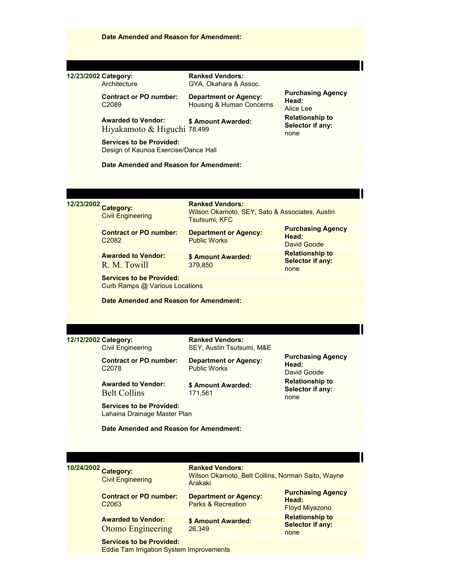|                      | Date Amended and Reason for Amendment:                                             |                                                                                                  |                                                            |  |
|----------------------|------------------------------------------------------------------------------------|--------------------------------------------------------------------------------------------------|------------------------------------------------------------|--|
|                      |                                                                                    |                                                                                                  |                                                            |  |
|                      |                                                                                    |                                                                                                  |                                                            |  |
| 12/23/2002 Category: | Architecture                                                                       | <b>Ranked Vendors:</b><br>GYA, Okahara & Assoc.                                                  |                                                            |  |
|                      | <b>Contract or PO number:</b><br>C <sub>2089</sub>                                 | <b>Department or Agency:</b><br>Housing & Human Concerns                                         | <b>Purchasing Agency</b><br>Head:<br>Alice Lee             |  |
|                      | <b>Awarded to Vendor:</b><br>Hiyakamoto & Higuchi 78,499                           | \$ Amount Awarded:                                                                               | <b>Relationship to</b><br>Selector if any:<br>none         |  |
|                      | <b>Services to be Provided:</b><br>Design of Kaunoa Exercise/Dance Hall            |                                                                                                  |                                                            |  |
|                      | Date Amended and Reason for Amendment:                                             |                                                                                                  |                                                            |  |
|                      |                                                                                    |                                                                                                  |                                                            |  |
|                      |                                                                                    |                                                                                                  |                                                            |  |
| 12/23/2002 Category: | <b>Civil Engineering</b>                                                           | <b>Ranked Vendors:</b><br>Wilson Okamoto, SEY, Sato & Associates, Austin<br><b>Tsutsumi, KFC</b> |                                                            |  |
|                      | <b>Contract or PO number:</b><br>C <sub>2082</sub>                                 | <b>Department or Agency:</b><br><b>Public Works</b>                                              | <b>Purchasing Agency</b><br>Head:<br>David Goode           |  |
|                      | <b>Awarded to Vendor:</b><br>R. M. Towill                                          | \$ Amount Awarded:<br>379,850                                                                    | <b>Relationship to</b><br><b>Selector if any:</b><br>none  |  |
|                      | <b>Services to be Provided:</b><br><b>Curb Ramps @ Various Locations</b>           |                                                                                                  |                                                            |  |
|                      | Date Amended and Reason for Amendment:                                             |                                                                                                  |                                                            |  |
|                      |                                                                                    |                                                                                                  |                                                            |  |
|                      |                                                                                    |                                                                                                  |                                                            |  |
| 12/12/2002 Category: | <b>Civil Engineering</b>                                                           | <b>Ranked Vendors:</b><br>SEY, Austin Tsutsumi, M&E                                              |                                                            |  |
|                      | <b>Contract or PO number:</b><br>C <sub>2078</sub>                                 | <b>Department or Agency:</b><br><b>Public Works</b>                                              | <b>Purchasing Agency</b><br>Head:<br>David Goode           |  |
|                      | <b>Awarded to Vendor:</b><br><b>Belt Collins</b>                                   | \$ Amount Awarded:<br>171,561                                                                    | <b>Relationship to</b><br><b>Selector if any:</b><br>none  |  |
|                      | <b>Services to be Provided:</b><br>Lahaina Drainage Master Plan                    |                                                                                                  |                                                            |  |
|                      | Date Amended and Reason for Amendment:                                             |                                                                                                  |                                                            |  |
|                      |                                                                                    |                                                                                                  |                                                            |  |
|                      |                                                                                    |                                                                                                  |                                                            |  |
| 10/24/2002 Category: | <b>Civil Engineering</b>                                                           | <b>Ranked Vendors:</b><br>Wilson Okamoto, Belt Collins, Norman Saito, Wayne<br>Arakaki           |                                                            |  |
|                      | <b>Contract or PO number:</b><br>C <sub>2063</sub>                                 | <b>Department or Agency:</b><br><b>Parks &amp; Recreation</b>                                    | <b>Purchasing Agency</b><br>Head:<br><b>Floyd Miyazono</b> |  |
|                      | <b>Awarded to Vendor:</b><br><b>Otomo Engineering</b>                              | \$ Amount Awarded:<br>26,349                                                                     | <b>Relationship to</b><br><b>Selector if any:</b><br>none  |  |
|                      | <b>Services to be Provided:</b><br><b>Eddie Tam Irrigation System Improvements</b> |                                                                                                  |                                                            |  |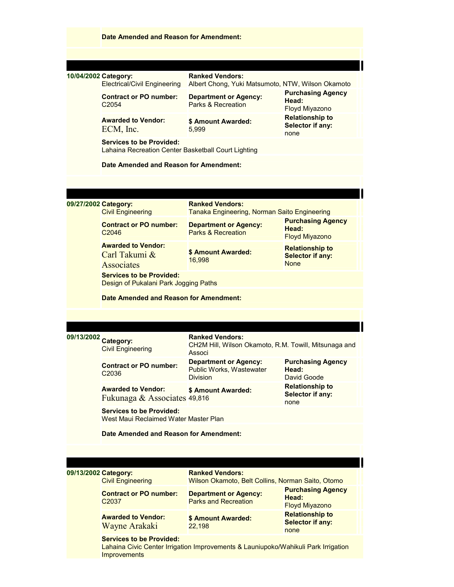|                      | Date Amended and Reason for Amendment:                                                 |                                                                                           |                                                                  |  |  |
|----------------------|----------------------------------------------------------------------------------------|-------------------------------------------------------------------------------------------|------------------------------------------------------------------|--|--|
|                      |                                                                                        |                                                                                           |                                                                  |  |  |
|                      |                                                                                        |                                                                                           |                                                                  |  |  |
| 10/04/2002 Category: | <b>Electrical/Civil Engineering</b>                                                    | <b>Ranked Vendors:</b><br>Albert Chong, Yuki Matsumoto, NTW, Wilson Okamoto               |                                                                  |  |  |
|                      | <b>Contract or PO number:</b><br>C <sub>2054</sub>                                     | <b>Department or Agency:</b><br>Parks & Recreation                                        | <b>Purchasing Agency</b><br>Head:<br><b>Floyd Miyazono</b>       |  |  |
|                      | <b>Awarded to Vendor:</b><br>ECM, Inc.                                                 | \$ Amount Awarded:<br>5.999                                                               | <b>Relationship to</b><br>Selector if any:<br>none               |  |  |
|                      | <b>Services to be Provided:</b><br>Lahaina Recreation Center Basketball Court Lighting |                                                                                           |                                                                  |  |  |
|                      | Date Amended and Reason for Amendment:                                                 |                                                                                           |                                                                  |  |  |
|                      |                                                                                        |                                                                                           |                                                                  |  |  |
|                      |                                                                                        |                                                                                           |                                                                  |  |  |
|                      | 09/27/2002 Category:<br><b>Civil Engineering</b>                                       | <b>Ranked Vendors:</b><br>Tanaka Engineering, Norman Saito Engineering                    |                                                                  |  |  |
|                      | <b>Contract or PO number:</b><br>C <sub>2046</sub>                                     | <b>Department or Agency:</b><br><b>Parks &amp; Recreation</b>                             | <b>Purchasing Agency</b><br>Head:<br><b>Floyd Miyazono</b>       |  |  |
|                      | <b>Awarded to Vendor:</b><br>Carl Takumi &<br><b>Associates</b>                        | \$ Amount Awarded:<br>16,998                                                              | <b>Relationship to</b><br><b>Selector if any:</b><br><b>None</b> |  |  |
|                      | <b>Services to be Provided:</b><br>Design of Pukalani Park Jogging Paths               |                                                                                           |                                                                  |  |  |
|                      | Date Amended and Reason for Amendment:                                                 |                                                                                           |                                                                  |  |  |
|                      |                                                                                        |                                                                                           |                                                                  |  |  |
|                      |                                                                                        |                                                                                           |                                                                  |  |  |
| 09/13/2002           | <b>Category:</b><br><b>Civil Engineering</b>                                           | <b>Ranked Vendors:</b><br>CH2M Hill, Wilson Okamoto, R.M. Towill, Mitsunaga and<br>Associ |                                                                  |  |  |
|                      | <b>Contract or PO number:</b><br>C <sub>2036</sub>                                     | <b>Department or Agency:</b><br>Public Works, Wastewater<br><b>Division</b>               | <b>Purchasing Agency</b><br>Head:<br>David Goode                 |  |  |
|                      | <b>Awarded to Vendor:</b><br>Fukunaga & Associates 49,816                              | \$ Amount Awarded:                                                                        | <b>Relationship to</b><br><b>Selector if any:</b><br>none        |  |  |
|                      | <b>Services to be Provided:</b><br>West Maui Reclaimed Water Master Plan               |                                                                                           |                                                                  |  |  |
|                      | Date Amended and Reason for Amendment:                                                 |                                                                                           |                                                                  |  |  |
|                      |                                                                                        |                                                                                           |                                                                  |  |  |
|                      |                                                                                        |                                                                                           |                                                                  |  |  |
|                      | 09/13/2002 Category:<br><b>Civil Engineering</b>                                       | <b>Ranked Vendors:</b><br>Wilson Okamoto, Belt Collins, Norman Saito, Otomo               |                                                                  |  |  |
|                      | <b>Contract or PO number:</b><br>C <sub>2037</sub>                                     | <b>Department or Agency:</b><br><b>Parks and Recreation</b>                               | <b>Purchasing Agency</b><br>Head:<br><b>Floyd Miyazono</b>       |  |  |
|                      | <b>Awarded to Vendor:</b><br>Wayne Arakaki                                             | <b>\$ Amount Awarded:</b><br>22,198                                                       | <b>Relationship to</b><br><b>Selector if any:</b><br>none        |  |  |
|                      | <b>Services to be Provided:</b><br>Improvements                                        | Lahaina Civic Center Irrigation Improvements & Launiupoko/Wahikuli Park Irrigation        |                                                                  |  |  |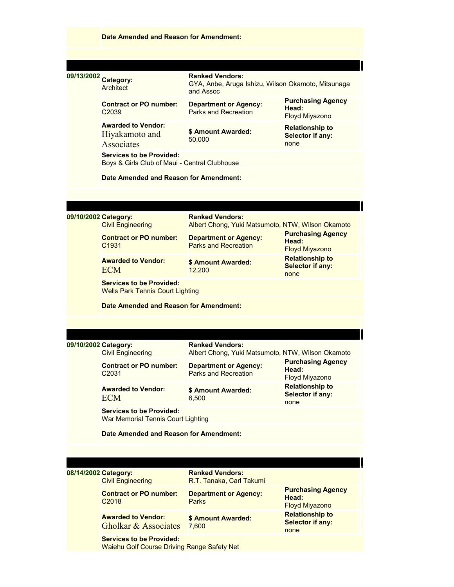|                      | <b>Date Amended and Reason for Amendment:</b>                                    |                                                                                                                  |                                                            |  |
|----------------------|----------------------------------------------------------------------------------|------------------------------------------------------------------------------------------------------------------|------------------------------------------------------------|--|
|                      |                                                                                  |                                                                                                                  |                                                            |  |
|                      |                                                                                  |                                                                                                                  |                                                            |  |
| 09/13/2002 Category: | <b>Architect</b>                                                                 | <b>Ranked Vendors:</b><br>GYA, Anbe, Aruga Ishizu, Wilson Okamoto, Mitsunaga<br>and Assoc                        |                                                            |  |
|                      | <b>Contract or PO number:</b><br>C <sub>2039</sub>                               | <b>Department or Agency:</b><br>Parks and Recreation                                                             | <b>Purchasing Agency</b><br>Head:<br><b>Floyd Miyazono</b> |  |
|                      | <b>Awarded to Vendor:</b><br>Hiyakamoto and<br>Associates                        | \$ Amount Awarded:<br>50,000                                                                                     | <b>Relationship to</b><br>Selector if any:<br>none         |  |
|                      | <b>Services to be Provided:</b><br>Boys & Girls Club of Maui - Central Clubhouse |                                                                                                                  |                                                            |  |
|                      | Date Amended and Reason for Amendment:                                           |                                                                                                                  |                                                            |  |
|                      |                                                                                  |                                                                                                                  |                                                            |  |
| 09/10/2002 Category: | <b>Civil Engineering</b>                                                         | <b>Ranked Vendors:</b><br>Albert Chong, Yuki Matsumoto, NTW, Wilson Okamoto                                      |                                                            |  |
|                      | <b>Contract or PO number:</b><br>C1931                                           | <b>Department or Agency:</b><br><b>Parks and Recreation</b>                                                      | <b>Purchasing Agency</b><br>Head:<br><b>Floyd Miyazono</b> |  |
|                      | <b>Awarded to Vendor:</b><br><b>ECM</b>                                          | \$ Amount Awarded:<br>12,200                                                                                     | <b>Relationship to</b><br><b>Selector if any:</b><br>none  |  |
|                      | <b>Services to be Provided:</b><br><b>Wells Park Tennis Court Lighting</b>       |                                                                                                                  |                                                            |  |
|                      | Date Amended and Reason for Amendment:                                           |                                                                                                                  |                                                            |  |
|                      |                                                                                  |                                                                                                                  |                                                            |  |
| 09/10/2002 Category: |                                                                                  | <b>Ranked Vendors:</b>                                                                                           |                                                            |  |
|                      | <b>Civil Engineering</b><br><b>Contract or PO number:</b><br>C <sub>2031</sub>   | Albert Chong, Yuki Matsumoto, NTW, Wilson Okamoto<br><b>Department or Agency:</b><br><b>Parks and Recreation</b> | <b>Purchasing Agency</b><br>Head:<br>Floyd Miyazono        |  |
|                      | <b>Awarded to Vendor:</b><br><b>ECM</b>                                          | \$ Amount Awarded:<br>6.500                                                                                      | <b>Relationship to</b><br>Selector if any:<br>none         |  |
|                      | <b>Services to be Provided:</b><br><b>War Memorial Tennis Court Lighting</b>     |                                                                                                                  |                                                            |  |
|                      | Date Amended and Reason for Amendment:                                           |                                                                                                                  |                                                            |  |
|                      |                                                                                  |                                                                                                                  |                                                            |  |
|                      |                                                                                  |                                                                                                                  |                                                            |  |
| 08/14/2002 Category: | <b>Civil Engineering</b>                                                         | <b>Ranked Vendors:</b><br>R.T. Tanaka, Carl Takumi                                                               |                                                            |  |
|                      | <b>Contract or PO number:</b><br>C <sub>2018</sub>                               | <b>Department or Agency:</b><br>Parks                                                                            | <b>Purchasing Agency</b><br>Head:<br><b>Floyd Miyazono</b> |  |
|                      | <b>Awarded to Vendor:</b><br><b>Gholkar &amp; Associates</b>                     | \$ Amount Awarded:<br>7,600                                                                                      | <b>Relationship to</b><br><b>Selector if any:</b><br>none  |  |
|                      | <b>Services to be Provided:</b><br>Waiehu Golf Course Driving Range Safety Net   |                                                                                                                  |                                                            |  |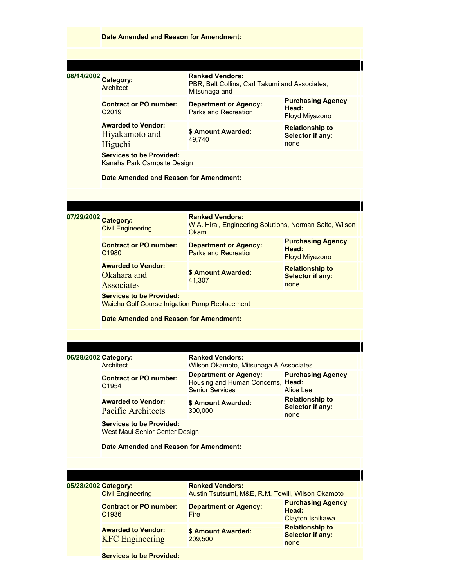|                      | Date Amended and Reason for Amendment:                                            |                                                                                             |                                                              |  |
|----------------------|-----------------------------------------------------------------------------------|---------------------------------------------------------------------------------------------|--------------------------------------------------------------|--|
|                      |                                                                                   |                                                                                             |                                                              |  |
|                      |                                                                                   |                                                                                             |                                                              |  |
| 08/14/2002 Category: | Architect                                                                         | <b>Ranked Vendors:</b><br>PBR, Belt Collins, Carl Takumi and Associates,<br>Mitsunaga and   |                                                              |  |
|                      | <b>Contract or PO number:</b><br>C <sub>2019</sub>                                | <b>Department or Agency:</b><br>Parks and Recreation                                        | <b>Purchasing Agency</b><br>Head:<br>Floyd Miyazono          |  |
|                      | <b>Awarded to Vendor:</b><br>Hiyakamoto and<br>Higuchi                            | \$ Amount Awarded:<br>49,740                                                                | <b>Relationship to</b><br>Selector if any:<br>none           |  |
|                      | <b>Services to be Provided:</b><br>Kanaha Park Campsite Design                    |                                                                                             |                                                              |  |
|                      | Date Amended and Reason for Amendment:                                            |                                                                                             |                                                              |  |
|                      |                                                                                   |                                                                                             |                                                              |  |
|                      |                                                                                   |                                                                                             |                                                              |  |
| 07/29/2002 Category: | <b>Civil Engineering</b>                                                          | <b>Ranked Vendors:</b><br>W.A. Hirai, Engineering Solutions, Norman Saito, Wilson<br>Okam   |                                                              |  |
|                      | <b>Contract or PO number:</b><br>C <sub>1980</sub>                                | <b>Department or Agency:</b><br><b>Parks and Recreation</b>                                 | <b>Purchasing Agency</b><br>Head:<br><b>Floyd Miyazono</b>   |  |
|                      | <b>Awarded to Vendor:</b><br>Okahara and<br><b>Associates</b>                     | <b>\$ Amount Awarded:</b><br>41,307                                                         | <b>Relationship to</b><br><b>Selector if any:</b><br>none    |  |
|                      | <b>Services to be Provided:</b><br>Waiehu Golf Course Irrigation Pump Replacement |                                                                                             |                                                              |  |
|                      | <b>Date Amended and Reason for Amendment:</b>                                     |                                                                                             |                                                              |  |
|                      |                                                                                   |                                                                                             |                                                              |  |
|                      |                                                                                   |                                                                                             |                                                              |  |
| 06/28/2002 Category: | Architect                                                                         | <b>Ranked Vendors:</b><br>Wilson Okamoto, Mitsunaga & Associates                            |                                                              |  |
|                      | <b>Contract or PO number:</b><br>C <sub>1954</sub>                                | <b>Department or Agency:</b><br>Housing and Human Concerns, Head:<br><b>Senior Services</b> | <b>Purchasing Agency</b><br><b>Alice Lee</b>                 |  |
|                      | <b>Awarded to Vendor:</b><br>Pacific Architects                                   | \$ Amount Awarded:<br>300,000                                                               | <b>Relationship to</b><br>Selector if any:<br>none           |  |
|                      | <b>Services to be Provided:</b><br><b>West Maui Senior Center Design</b>          |                                                                                             |                                                              |  |
|                      | Date Amended and Reason for Amendment:                                            |                                                                                             |                                                              |  |
|                      |                                                                                   |                                                                                             |                                                              |  |
| 05/28/2002 Category: |                                                                                   | <b>Ranked Vendors:</b>                                                                      |                                                              |  |
|                      | <b>Civil Engineering</b>                                                          | Austin Tsutsumi, M&E, R.M. Towill, Wilson Okamoto                                           |                                                              |  |
|                      | <b>Contract or PO number:</b><br>C1936                                            | <b>Department or Agency:</b><br><b>Fire</b>                                                 | <b>Purchasing Agency</b><br>Head:<br><b>Clayton Ishikawa</b> |  |
|                      | <b>Awarded to Vendor:</b><br><b>KFC</b> Engineering                               | \$ Amount Awarded:<br>209,500                                                               | <b>Relationship to</b><br><b>Selector if any:</b><br>none    |  |
|                      | <b>Services to be Provided:</b>                                                   |                                                                                             |                                                              |  |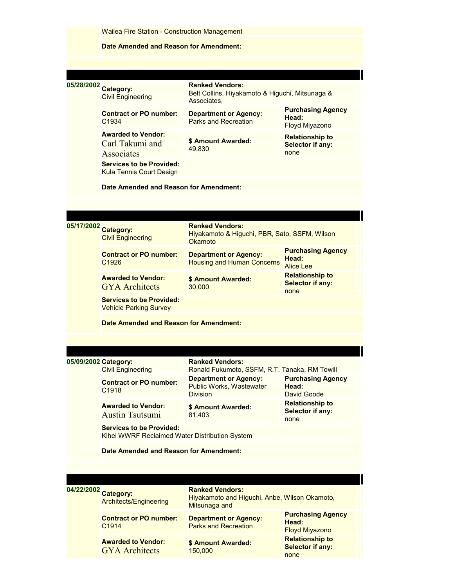|                      | <b>Wailea Fire Station - Construction Management</b>                              |                                                                                          |                                                            |  |
|----------------------|-----------------------------------------------------------------------------------|------------------------------------------------------------------------------------------|------------------------------------------------------------|--|
|                      | Date Amended and Reason for Amendment:                                            |                                                                                          |                                                            |  |
|                      |                                                                                   |                                                                                          |                                                            |  |
| 05/28/2002 Category: | <b>Civil Engineering</b>                                                          | <b>Ranked Vendors:</b><br>Belt Collins, Hiyakamoto & Higuchi, Mitsunaga &<br>Associates. |                                                            |  |
|                      | <b>Contract or PO number:</b><br>C <sub>1934</sub>                                | <b>Department or Agency:</b><br><b>Parks and Recreation</b>                              | <b>Purchasing Agency</b><br>Head:<br><b>Floyd Miyazono</b> |  |
|                      | <b>Awarded to Vendor:</b><br>Carl Takumi and<br>Associates                        | \$ Amount Awarded:<br>49,830                                                             | <b>Relationship to</b><br>Selector if any:<br>none         |  |
|                      | <b>Services to be Provided:</b><br>Kula Tennis Court Design                       |                                                                                          |                                                            |  |
|                      | Date Amended and Reason for Amendment:                                            |                                                                                          |                                                            |  |
|                      |                                                                                   |                                                                                          |                                                            |  |
| 05/17/2002 Category: | <b>Civil Engineering</b>                                                          | <b>Ranked Vendors:</b><br>Hiyakamoto & Higuchi, PBR, Sato, SSFM, Wilson<br>Okamoto       |                                                            |  |
|                      | <b>Contract or PO number:</b><br>C <sub>1926</sub>                                | <b>Department or Agency:</b><br><b>Housing and Human Concerns</b>                        | <b>Purchasing Agency</b><br>Head:<br><b>Alice Lee</b>      |  |
|                      | <b>Awarded to Vendor:</b><br><b>GYA</b> Architects                                | \$ Amount Awarded:<br>30,000                                                             | <b>Relationship to</b><br><b>Selector if any:</b><br>none  |  |
|                      | <b>Services to be Provided:</b><br><b>Vehicle Parking Survey</b>                  |                                                                                          |                                                            |  |
|                      | Date Amended and Reason for Amendment:                                            |                                                                                          |                                                            |  |
|                      |                                                                                   |                                                                                          |                                                            |  |
| 05/09/2002 Category: | <b>Civil Engineering</b>                                                          | <b>Ranked Vendors:</b><br>Ronald Fukumoto, SSFM, R.T. Tanaka, RM Towill                  |                                                            |  |
|                      | <b>Contract or PO number:</b><br>C <sub>1918</sub>                                | <b>Department or Agency:</b><br>Public Works, Wastewater<br><b>Division</b>              | <b>Purchasing Agency</b><br>Head:<br>David Goode           |  |
|                      | <b>Awarded to Vendor:</b><br><b>Austin Tsutsumi</b>                               | \$ Amount Awarded:<br>81,403                                                             | <b>Relationship to</b><br>Selector if any:<br>none         |  |
|                      | <b>Services to be Provided:</b><br>Kihei WWRF Reclaimed Water Distribution System |                                                                                          |                                                            |  |
|                      | Date Amended and Reason for Amendment:                                            |                                                                                          |                                                            |  |
|                      |                                                                                   |                                                                                          |                                                            |  |
| 04/22/2002 Category: | Architects/Engineering                                                            | <b>Ranked Vendors:</b><br>Hiyakamoto and Higuchi, Anbe, Wilson Okamoto,<br>Mitsunaga and |                                                            |  |
|                      | <b>Contract or PO number:</b><br>C1914                                            | <b>Department or Agency:</b><br><b>Parks and Recreation</b>                              | <b>Purchasing Agency</b><br>Head:<br><b>Floyd Miyazono</b> |  |
|                      | <b>Awarded to Vendor:</b><br><b>GYA</b> Architects                                | <b>\$ Amount Awarded:</b><br>150,000                                                     | <b>Relationship to</b><br><b>Selector if any:</b><br>none  |  |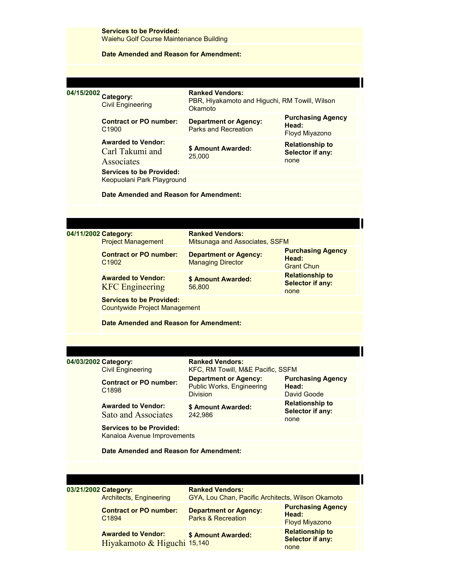|                      | <b>Services to be Provided:</b><br><b>Waiehu Golf Course Maintenance Building</b> |                                                                                            |                                                            |  |
|----------------------|-----------------------------------------------------------------------------------|--------------------------------------------------------------------------------------------|------------------------------------------------------------|--|
|                      | Date Amended and Reason for Amendment:                                            |                                                                                            |                                                            |  |
|                      |                                                                                   |                                                                                            |                                                            |  |
| 04/15/2002 Category: | <b>Civil Engineering</b>                                                          | <b>Ranked Vendors:</b><br>PBR, Hiyakamoto and Higuchi, RM Towill, Wilson<br><b>Okamoto</b> |                                                            |  |
|                      | <b>Contract or PO number:</b><br>C <sub>1900</sub>                                | <b>Department or Agency:</b><br><b>Parks and Recreation</b>                                | <b>Purchasing Agency</b><br>Head:<br><b>Floyd Miyazono</b> |  |
|                      | <b>Awarded to Vendor:</b><br>Carl Takumi and<br><b>Associates</b>                 | \$ Amount Awarded:<br>25,000                                                               | <b>Relationship to</b><br>Selector if any:<br>none         |  |
|                      | <b>Services to be Provided:</b><br>Keopuolani Park Playground                     |                                                                                            |                                                            |  |
|                      | Date Amended and Reason for Amendment:                                            |                                                                                            |                                                            |  |
|                      |                                                                                   |                                                                                            |                                                            |  |
| 04/11/2002 Category: | <b>Project Management</b>                                                         | <b>Ranked Vendors:</b><br>Mitsunaga and Associates, SSFM                                   |                                                            |  |
|                      | <b>Contract or PO number:</b><br>C <sub>1902</sub>                                | <b>Department or Agency:</b><br><b>Managing Director</b>                                   | <b>Purchasing Agency</b><br>Head:<br><b>Grant Chun</b>     |  |
|                      | <b>Awarded to Vendor:</b><br><b>KFC</b> Engineering                               | \$ Amount Awarded:<br>56,800                                                               | <b>Relationship to</b><br><b>Selector if any:</b><br>none  |  |
|                      | <b>Services to be Provided:</b><br><b>Countywide Project Management</b>           |                                                                                            |                                                            |  |
|                      | Date Amended and Reason for Amendment:                                            |                                                                                            |                                                            |  |
|                      |                                                                                   |                                                                                            |                                                            |  |
| 04/03/2002 Category: | <b>Civil Engineering</b>                                                          | <b>Ranked Vendors:</b><br>KFC, RM Towill, M&E Pacific, SSFM                                |                                                            |  |
|                      | <b>Contract or PO number:</b><br>C <sub>1898</sub>                                | <b>Department or Agency:</b><br>Public Works, Engineering<br><b>Division</b>               | <b>Purchasing Agency</b><br>Head:<br>David Goode           |  |
|                      | <b>Awarded to Vendor:</b><br>Sato and Associates                                  | \$ Amount Awarded:<br>242,986                                                              | <b>Relationship to</b><br>Selector if any:<br>none         |  |
|                      | <b>Services to be Provided:</b><br>Kanaloa Avenue Improvements                    |                                                                                            |                                                            |  |
|                      | Date Amended and Reason for Amendment:                                            |                                                                                            |                                                            |  |
|                      |                                                                                   |                                                                                            |                                                            |  |
| 03/21/2002 Category: | <b>Architects, Engineering</b>                                                    | <b>Ranked Vendors:</b><br>GYA, Lou Chan, Pacific Architects, Wilson Okamoto                |                                                            |  |
|                      | <b>Contract or PO number:</b><br>C1894                                            | <b>Department or Agency:</b><br><b>Parks &amp; Recreation</b>                              | <b>Purchasing Agency</b><br>Head:<br><b>Floyd Miyazono</b> |  |
|                      | <b>Awarded to Vendor:</b><br>Hiyakamoto & Higuchi 15,140                          | \$ Amount Awarded:                                                                         | <b>Relationship to</b><br><b>Selector if any:</b><br>none  |  |
|                      |                                                                                   |                                                                                            |                                                            |  |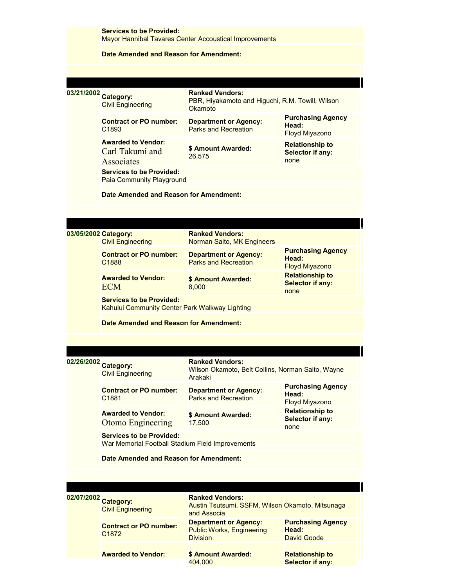|                      | <b>Services to be Provided:</b><br>Mayor Hannibal Tavares Center Accoustical Improvements |                                                                                       |                                                            |  |  |
|----------------------|-------------------------------------------------------------------------------------------|---------------------------------------------------------------------------------------|------------------------------------------------------------|--|--|
|                      | Date Amended and Reason for Amendment:                                                    |                                                                                       |                                                            |  |  |
|                      |                                                                                           |                                                                                       |                                                            |  |  |
| 03/21/2002 Category: | <b>Civil Engineering</b>                                                                  | <b>Ranked Vendors:</b><br>PBR, Hiyakamoto and Higuchi, R.M. Towill, Wilson<br>Okamoto |                                                            |  |  |
|                      | <b>Contract or PO number:</b><br>C <sub>1893</sub>                                        | <b>Department or Agency:</b><br>Parks and Recreation                                  | <b>Purchasing Agency</b><br>Head:<br>Floyd Miyazono        |  |  |
|                      | <b>Awarded to Vendor:</b><br>Carl Takumi and<br>Associates                                | \$ Amount Awarded:<br>26,575                                                          | <b>Relationship to</b><br>Selector if any:<br>none         |  |  |
|                      | <b>Services to be Provided:</b><br>Paia Community Playground                              |                                                                                       |                                                            |  |  |
|                      | Date Amended and Reason for Amendment:                                                    |                                                                                       |                                                            |  |  |
|                      |                                                                                           |                                                                                       |                                                            |  |  |
| 03/05/2002 Category: |                                                                                           | <b>Ranked Vendors:</b>                                                                |                                                            |  |  |
|                      | <b>Civil Engineering</b>                                                                  | Norman Saito, MK Engineers                                                            |                                                            |  |  |
|                      | <b>Contract or PO number:</b><br>C <sub>1888</sub>                                        | <b>Department or Agency:</b><br><b>Parks and Recreation</b>                           | <b>Purchasing Agency</b><br>Head:<br><b>Floyd Miyazono</b> |  |  |
|                      | <b>Awarded to Vendor:</b><br><b>ECM</b>                                                   | \$ Amount Awarded:<br>8,000                                                           | <b>Relationship to</b><br><b>Selector if any:</b><br>none  |  |  |
|                      | <b>Services to be Provided:</b><br>Kahului Community Center Park Walkway Lighting         |                                                                                       |                                                            |  |  |
|                      | Date Amended and Reason for Amendment:                                                    |                                                                                       |                                                            |  |  |
|                      |                                                                                           |                                                                                       |                                                            |  |  |
|                      |                                                                                           | <b>Ranked Vendors:</b>                                                                |                                                            |  |  |
| 02/26/2002 Category: | <b>Civil Engineering</b>                                                                  | Wilson Okamoto, Belt Collins, Norman Saito, Wayne<br>Arakaki                          |                                                            |  |  |
|                      | <b>Contract or PO number:</b><br>C1881                                                    | <b>Department or Agency:</b><br><b>Parks and Recreation</b>                           | <b>Purchasing Agency</b><br>Head:<br>Floyd Miyazono        |  |  |
|                      | <b>Awarded to Vendor:</b><br>Otomo Engineering                                            | \$ Amount Awarded:<br>17,500                                                          | <b>Relationship to</b><br>Selector if any:<br>none         |  |  |
|                      | <b>Services to be Provided:</b><br>War Memorial Football Stadium Field Improvements       |                                                                                       |                                                            |  |  |
|                      | Date Amended and Reason for Amendment:                                                    |                                                                                       |                                                            |  |  |
|                      |                                                                                           |                                                                                       |                                                            |  |  |
|                      |                                                                                           | <b>Ranked Vendors:</b>                                                                |                                                            |  |  |
| 02/07/2002 Category: | <b>Civil Engineering</b>                                                                  | Austin Tsutsumi, SSFM, Wilson Okamoto, Mitsunaga<br>and Associa                       |                                                            |  |  |
|                      | <b>Contract or PO number:</b><br>C1872                                                    | <b>Department or Agency:</b><br><b>Public Works, Engineering</b><br><b>Division</b>   | <b>Purchasing Agency</b><br>Head:<br>David Goode           |  |  |
|                      | <b>Awarded to Vendor:</b>                                                                 | \$ Amount Awarded:<br>404,000                                                         | <b>Relationship to</b><br><b>Selector if any:</b>          |  |  |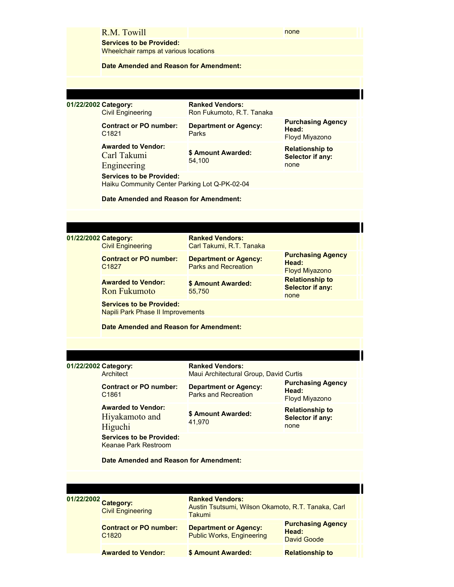|                      | R.M. Towill                                                                                                                                 |                                                                                        | none                                                       |  |  |
|----------------------|---------------------------------------------------------------------------------------------------------------------------------------------|----------------------------------------------------------------------------------------|------------------------------------------------------------|--|--|
|                      | <b>Services to be Provided:</b><br>Wheelchair ramps at various locations                                                                    |                                                                                        |                                                            |  |  |
|                      | Date Amended and Reason for Amendment:                                                                                                      |                                                                                        |                                                            |  |  |
|                      |                                                                                                                                             |                                                                                        |                                                            |  |  |
| 01/22/2002 Category: | <b>Civil Engineering</b>                                                                                                                    | <b>Ranked Vendors:</b><br>Ron Fukumoto, R.T. Tanaka                                    |                                                            |  |  |
|                      | <b>Contract or PO number:</b><br>C <sub>1821</sub>                                                                                          | <b>Department or Agency:</b><br>Parks                                                  | <b>Purchasing Agency</b><br>Head:<br>Floyd Miyazono        |  |  |
|                      | <b>Awarded to Vendor:</b><br>Carl Takumi<br>Engineering<br><b>Services to be Provided:</b><br>Haiku Community Center Parking Lot Q-PK-02-04 | \$ Amount Awarded:<br>54,100                                                           | <b>Relationship to</b><br>Selector if any:<br>none         |  |  |
|                      | Date Amended and Reason for Amendment:                                                                                                      |                                                                                        |                                                            |  |  |
|                      |                                                                                                                                             |                                                                                        |                                                            |  |  |
|                      |                                                                                                                                             |                                                                                        |                                                            |  |  |
| 01/22/2002 Category: | <b>Civil Engineering</b>                                                                                                                    | <b>Ranked Vendors:</b><br>Carl Takumi, R.T. Tanaka                                     |                                                            |  |  |
|                      | <b>Contract or PO number:</b><br>C <sub>1827</sub>                                                                                          | <b>Department or Agency:</b><br><b>Parks and Recreation</b>                            | <b>Purchasing Agency</b><br>Head:<br><b>Floyd Miyazono</b> |  |  |
|                      | <b>Awarded to Vendor:</b><br><b>Ron Fukumoto</b>                                                                                            | \$ Amount Awarded:<br>55,750                                                           | <b>Relationship to</b><br><b>Selector if any:</b><br>none  |  |  |
|                      | <b>Services to be Provided:</b><br><b>Napili Park Phase II Improvements</b>                                                                 |                                                                                        |                                                            |  |  |
|                      | Date Amended and Reason for Amendment:                                                                                                      |                                                                                        |                                                            |  |  |
|                      |                                                                                                                                             |                                                                                        |                                                            |  |  |
| 01/22/2002 Category: | <b>Architect</b>                                                                                                                            | <b>Ranked Vendors:</b><br>Maui Architectural Group, David Curtis                       |                                                            |  |  |
|                      | <b>Contract or PO number:</b><br>C <sub>1861</sub>                                                                                          | <b>Department or Agency:</b><br>Parks and Recreation                                   | <b>Purchasing Agency</b><br>Head:<br><b>Floyd Miyazono</b> |  |  |
|                      | <b>Awarded to Vendor:</b><br>Hiyakamoto and<br>Higuchi                                                                                      | \$ Amount Awarded:<br>41,970                                                           | <b>Relationship to</b><br>Selector if any:<br>none         |  |  |
|                      | <b>Services to be Provided:</b><br><b>Keanae Park Restroom</b>                                                                              |                                                                                        |                                                            |  |  |
|                      | Date Amended and Reason for Amendment:                                                                                                      |                                                                                        |                                                            |  |  |
|                      |                                                                                                                                             |                                                                                        |                                                            |  |  |
|                      |                                                                                                                                             |                                                                                        |                                                            |  |  |
| 01/22/2002 Category: | <b>Civil Engineering</b>                                                                                                                    | <b>Ranked Vendors:</b><br>Austin Tsutsumi, Wilson Okamoto, R.T. Tanaka, Carl<br>Takumi |                                                            |  |  |
|                      | <b>Contract or PO number:</b><br>C <sub>1820</sub>                                                                                          | <b>Department or Agency:</b><br><b>Public Works, Engineering</b>                       | <b>Purchasing Agency</b><br>Head:<br>David Goode           |  |  |
|                      | <b>Awarded to Vendor:</b>                                                                                                                   | \$ Amount Awarded:                                                                     | <b>Relationship to</b>                                     |  |  |